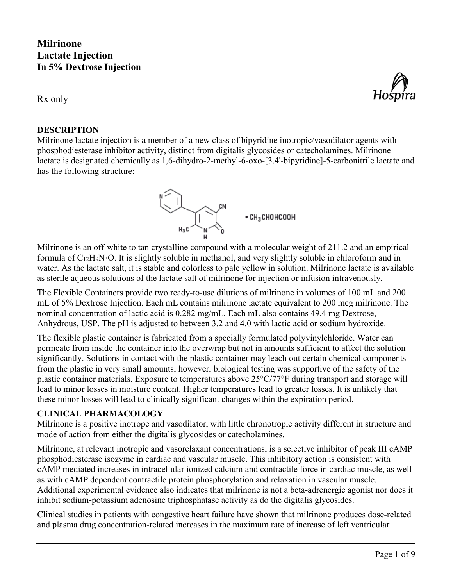# **Milrinone Lactate Injection In 5% Dextrose Injection**

Rx only

## **DESCRIPTION**

Milrinone lactate injection is a member of a new class of bipyridine inotropic/vasodilator agents with phosphodiesterase inhibitor activity, distinct from digitalis glycosides or catecholamines. Milrinone lactate is designated chemically as 1,6-dihydro-2-methyl-6-oxo-[3,4'-bipyridine]-5-carbonitrile lactate and has the following structure:

Milrinone is an off-white to tan crystalline compound with a molecular weight of 211.2 and an empirical formula of  $C_{12}H_9N_3O$ . It is slightly soluble in methanol, and very slightly soluble in chloroform and in water. As the lactate salt, it is stable and colorless to pale yellow in solution. Milrinone lactate is available as sterile aqueous solutions of the lactate salt of milrinone for injection or infusion intravenously.

The Flexible Containers provide two ready-to-use dilutions of milrinone in volumes of 100 mL and 200 mL of 5% Dextrose Injection. Each mL contains milrinone lactate equivalent to 200 mcg milrinone. The nominal concentration of lactic acid is 0.282 mg/mL. Each mL also contains 49.4 mg Dextrose, Anhydrous, USP. The pH is adjusted to between 3.2 and 4.0 with lactic acid or sodium hydroxide.

The flexible plastic container is fabricated from a specially formulated polyvinylchloride. Water can permeate from inside the container into the overwrap but not in amounts sufficient to affect the solution significantly. Solutions in contact with the plastic container may leach out certain chemical components from the plastic in very small amounts; however, biological testing was supportive of the safety of the plastic container materials. Exposure to temperatures above 25°C/77°F during transport and storage will lead to minor losses in moisture content. Higher temperatures lead to greater losses. It is unlikely that these minor losses will lead to clinically significant changes within the expiration period.

# **CLINICAL PHARMACOLOGY**

Milrinone is a positive inotrope and vasodilator, with little chronotropic activity different in structure and mode of action from either the digitalis glycosides or catecholamines.

Milrinone, at relevant inotropic and vasorelaxant concentrations, is a selective inhibitor of peak III cAMP phosphodiesterase isozyme in cardiac and vascular muscle. This inhibitory action is consistent with cAMP mediated increases in intracellular ionized calcium and contractile force in cardiac muscle, as well as with cAMP dependent contractile protein phosphorylation and relaxation in vascular muscle. Additional experimental evidence also indicates that milrinone is not a beta-adrenergic agonist nor does it inhibit sodium-potassium adenosine triphosphatase activity as do the digitalis glycosides.

Clinical studies in patients with congestive heart failure have shown that milrinone produces dose-related and plasma drug concentration-related increases in the maximum rate of increase of left ventricular



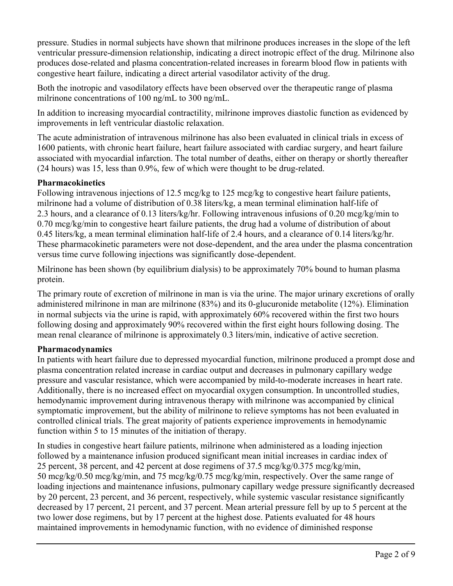pressure. Studies in normal subjects have shown that milrinone produces increases in the slope of the left ventricular pressure-dimension relationship, indicating a direct inotropic effect of the drug. Milrinone also produces dose-related and plasma concentration-related increases in forearm blood flow in patients with congestive heart failure, indicating a direct arterial vasodilator activity of the drug.

Both the inotropic and vasodilatory effects have been observed over the therapeutic range of plasma milrinone concentrations of 100 ng/mL to 300 ng/mL.

In addition to increasing myocardial contractility, milrinone improves diastolic function as evidenced by improvements in left ventricular diastolic relaxation.

The acute administration of intravenous milrinone has also been evaluated in clinical trials in excess of 1600 patients, with chronic heart failure, heart failure associated with cardiac surgery, and heart failure associated with myocardial infarction. The total number of deaths, either on therapy or shortly thereafter (24 hours) was 15, less than 0.9%, few of which were thought to be drug-related.

## **Pharmacokinetics**

Following intravenous injections of 12.5 mcg/kg to 125 mcg/kg to congestive heart failure patients, milrinone had a volume of distribution of 0.38 liters/kg, a mean terminal elimination half-life of 2.3 hours, and a clearance of 0.13 liters/kg/hr. Following intravenous infusions of 0.20 mcg/kg/min to 0.70 mcg/kg/min to congestive heart failure patients, the drug had a volume of distribution of about 0.45 liters/kg, a mean terminal elimination half-life of 2.4 hours, and a clearance of 0.14 liters/kg/hr. These pharmacokinetic parameters were not dose-dependent, and the area under the plasma concentration versus time curve following injections was significantly dose-dependent.

Milrinone has been shown (by equilibrium dialysis) to be approximately 70% bound to human plasma protein.

The primary route of excretion of milrinone in man is via the urine. The major urinary excretions of orally administered milrinone in man are milrinone (83%) and its 0-glucuronide metabolite (12%). Elimination in normal subjects via the urine is rapid, with approximately 60% recovered within the first two hours following dosing and approximately 90% recovered within the first eight hours following dosing. The mean renal clearance of milrinone is approximately 0.3 liters/min, indicative of active secretion.

### **Pharmacodynamics**

In patients with heart failure due to depressed myocardial function, milrinone produced a prompt dose and plasma concentration related increase in cardiac output and decreases in pulmonary capillary wedge pressure and vascular resistance, which were accompanied by mild-to-moderate increases in heart rate. Additionally, there is no increased effect on myocardial oxygen consumption. In uncontrolled studies, hemodynamic improvement during intravenous therapy with milrinone was accompanied by clinical symptomatic improvement, but the ability of milrinone to relieve symptoms has not been evaluated in controlled clinical trials. The great majority of patients experience improvements in hemodynamic function within 5 to 15 minutes of the initiation of therapy.

In studies in congestive heart failure patients, milrinone when administered as a loading injection followed by a maintenance infusion produced significant mean initial increases in cardiac index of 25 percent, 38 percent, and 42 percent at dose regimens of  $37.5$  mcg/kg/0.375 mcg/kg/min, 50 mcg/kg/0.50 mcg/kg/min, and 75 mcg/kg/0.75 mcg/kg/min, respectively. Over the same range of loading injections and maintenance infusions, pulmonary capillary wedge pressure significantly decreased by 20 percent, 23 percent, and 36 percent, respectively, while systemic vascular resistance significantly decreased by 17 percent, 21 percent, and 37 percent. Mean arterial pressure fell by up to 5 percent at the two lower dose regimens, but by 17 percent at the highest dose. Patients evaluated for 48 hours maintained improvements in hemodynamic function, with no evidence of diminished response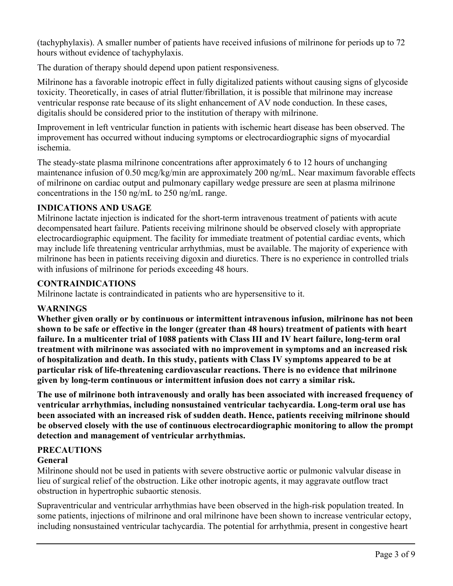(tachyphylaxis). A smaller number of patients have received infusions of milrinone for periods up to 72 hours without evidence of tachyphylaxis.

The duration of therapy should depend upon patient responsiveness.

Milrinone has a favorable inotropic effect in fully digitalized patients without causing signs of glycoside toxicity. Theoretically, in cases of atrial flutter/fibrillation, it is possible that milrinone may increase ventricular response rate because of its slight enhancement of AV node conduction. In these cases, digitalis should be considered prior to the institution of therapy with milrinone.

Improvement in left ventricular function in patients with ischemic heart disease has been observed. The improvement has occurred without inducing symptoms or electrocardiographic signs of myocardial ischemia.

The steady-state plasma milrinone concentrations after approximately 6 to 12 hours of unchanging maintenance infusion of 0.50 mcg/kg/min are approximately 200 ng/mL. Near maximum favorable effects of milrinone on cardiac output and pulmonary capillary wedge pressure are seen at plasma milrinone concentrations in the 150 ng/mL to 250 ng/mL range.

## **INDICATIONS AND USAGE**

Milrinone lactate injection is indicated for the short-term intravenous treatment of patients with acute decompensated heart failure. Patients receiving milrinone should be observed closely with appropriate electrocardiographic equipment. The facility for immediate treatment of potential cardiac events, which may include life threatening ventricular arrhythmias, must be available. The majority of experience with milrinone has been in patients receiving digoxin and diuretics. There is no experience in controlled trials with infusions of milrinone for periods exceeding 48 hours.

## **CONTRAINDICATIONS**

Milrinone lactate is contraindicated in patients who are hypersensitive to it.

### **WARNINGS**

**Whether given orally or by continuous or intermittent intravenous infusion, milrinone has not been shown to be safe or effective in the longer (greater than 48 hours) treatment of patients with heart failure. In a multicenter trial of 1088 patients with Class III and IV heart failure, long-term oral treatment with milrinone was associated with no improvement in symptoms and an increased risk of hospitalization and death. In this study, patients with Class IV symptoms appeared to be at particular risk of life-threatening cardiovascular reactions. There is no evidence that milrinone given by long-term continuous or intermittent infusion does not carry a similar risk.**

**The use of milrinone both intravenously and orally has been associated with increased frequency of ventricular arrhythmias, including nonsustained ventricular tachycardia. Long-term oral use has been associated with an increased risk of sudden death. Hence, patients receiving milrinone should be observed closely with the use of continuous electrocardiographic monitoring to allow the prompt detection and management of ventricular arrhythmias.**

# **PRECAUTIONS**

# **General**

Milrinone should not be used in patients with severe obstructive aortic or pulmonic valvular disease in lieu of surgical relief of the obstruction. Like other inotropic agents, it may aggravate outflow tract obstruction in hypertrophic subaortic stenosis.

Supraventricular and ventricular arrhythmias have been observed in the high-risk population treated. In some patients, injections of milrinone and oral milrinone have been shown to increase ventricular ectopy, including nonsustained ventricular tachycardia. The potential for arrhythmia, present in congestive heart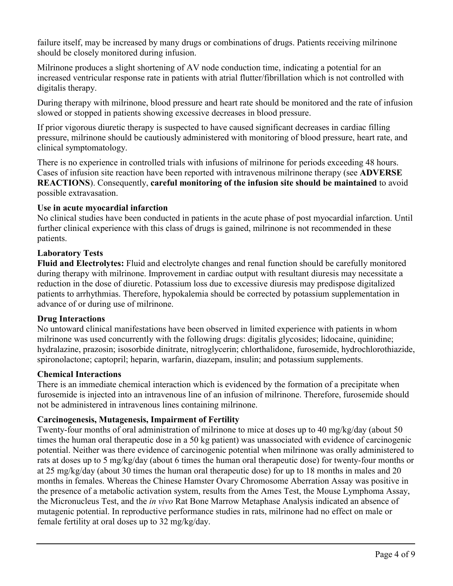failure itself, may be increased by many drugs or combinations of drugs. Patients receiving milrinone should be closely monitored during infusion.

Milrinone produces a slight shortening of AV node conduction time, indicating a potential for an increased ventricular response rate in patients with atrial flutter/fibrillation which is not controlled with digitalis therapy.

During therapy with milrinone, blood pressure and heart rate should be monitored and the rate of infusion slowed or stopped in patients showing excessive decreases in blood pressure.

If prior vigorous diuretic therapy is suspected to have caused significant decreases in cardiac filling pressure, milrinone should be cautiously administered with monitoring of blood pressure, heart rate, and clinical symptomatology.

There is no experience in controlled trials with infusions of milrinone for periods exceeding 48 hours. Cases of infusion site reaction have been reported with intravenous milrinone therapy (see **ADVERSE REACTIONS**). Consequently, **careful monitoring of the infusion site should be maintained** to avoid possible extravasation.

#### **Use in acute myocardial infarction**

No clinical studies have been conducted in patients in the acute phase of post myocardial infarction. Until further clinical experience with this class of drugs is gained, milrinone is not recommended in these patients.

#### **Laboratory Tests**

**Fluid and Electrolytes:** Fluid and electrolyte changes and renal function should be carefully monitored during therapy with milrinone. Improvement in cardiac output with resultant diuresis may necessitate a reduction in the dose of diuretic. Potassium loss due to excessive diuresis may predispose digitalized patients to arrhythmias. Therefore, hypokalemia should be corrected by potassium supplementation in advance of or during use of milrinone.

#### **Drug Interactions**

No untoward clinical manifestations have been observed in limited experience with patients in whom milrinone was used concurrently with the following drugs: digitalis glycosides; lidocaine, quinidine; hydralazine, prazosin; isosorbide dinitrate, nitroglycerin; chlorthalidone, furosemide, hydrochlorothiazide, spironolactone; captopril; heparin, warfarin, diazepam, insulin; and potassium supplements.

#### **Chemical Interactions**

There is an immediate chemical interaction which is evidenced by the formation of a precipitate when furosemide is injected into an intravenous line of an infusion of milrinone. Therefore, furosemide should not be administered in intravenous lines containing milrinone.

### **Carcinogenesis, Mutagenesis, Impairment of Fertility**

Twenty-four months of oral administration of milrinone to mice at doses up to 40 mg/kg/day (about 50 times the human oral therapeutic dose in a 50 kg patient) was unassociated with evidence of carcinogenic potential. Neither was there evidence of carcinogenic potential when milrinone was orally administered to rats at doses up to 5 mg/kg/day (about 6 times the human oral therapeutic dose) for twenty-four months or at 25 mg/kg/day (about 30 times the human oral therapeutic dose) for up to 18 months in males and 20 months in females. Whereas the Chinese Hamster Ovary Chromosome Aberration Assay was positive in the presence of a metabolic activation system, results from the Ames Test, the Mouse Lymphoma Assay, the Micronucleus Test, and the *in vivo* Rat Bone Marrow Metaphase Analysis indicated an absence of mutagenic potential. In reproductive performance studies in rats, milrinone had no effect on male or female fertility at oral doses up to 32 mg/kg/day.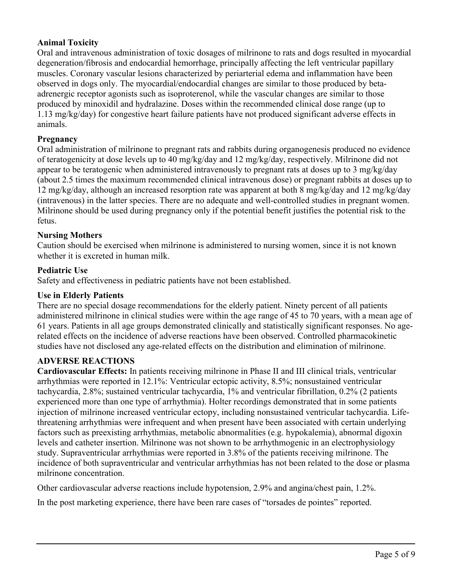### **Animal Toxicity**

Oral and intravenous administration of toxic dosages of milrinone to rats and dogs resulted in myocardial degeneration/fibrosis and endocardial hemorrhage, principally affecting the left ventricular papillary muscles. Coronary vascular lesions characterized by periarterial edema and inflammation have been observed in dogs only. The myocardial/endocardial changes are similar to those produced by betaadrenergic receptor agonists such as isoproterenol, while the vascular changes are similar to those produced by minoxidil and hydralazine. Doses within the recommended clinical dose range (up to 1.13 mg/kg/day) for congestive heart failure patients have not produced significant adverse effects in animals.

### **Pregnancy**

Oral administration of milrinone to pregnant rats and rabbits during organogenesis produced no evidence of teratogenicity at dose levels up to 40 mg/kg/day and 12 mg/kg/day, respectively. Milrinone did not appear to be teratogenic when administered intravenously to pregnant rats at doses up to 3 mg/kg/day (about 2.5 times the maximum recommended clinical intravenous dose) or pregnant rabbits at doses up to 12 mg/kg/day, although an increased resorption rate was apparent at both 8 mg/kg/day and 12 mg/kg/day (intravenous) in the latter species. There are no adequate and well-controlled studies in pregnant women. Milrinone should be used during pregnancy only if the potential benefit justifies the potential risk to the fetus.

### **Nursing Mothers**

Caution should be exercised when milrinone is administered to nursing women, since it is not known whether it is excreted in human milk.

#### **Pediatric Use**

Safety and effectiveness in pediatric patients have not been established.

#### **Use in Elderly Patients**

There are no special dosage recommendations for the elderly patient. Ninety percent of all patients administered milrinone in clinical studies were within the age range of 45 to 70 years, with a mean age of 61 years. Patients in all age groups demonstrated clinically and statistically significant responses. No agerelated effects on the incidence of adverse reactions have been observed. Controlled pharmacokinetic studies have not disclosed any age-related effects on the distribution and elimination of milrinone.

#### **ADVERSE REACTIONS**

**Cardiovascular Effects:** In patients receiving milrinone in Phase II and III clinical trials, ventricular arrhythmias were reported in 12.1%: Ventricular ectopic activity, 8.5%; nonsustained ventricular tachycardia, 2.8%; sustained ventricular tachycardia, 1% and ventricular fibrillation, 0.2% (2 patients experienced more than one type of arrhythmia). Holter recordings demonstrated that in some patients injection of milrinone increased ventricular ectopy, including nonsustained ventricular tachycardia. Lifethreatening arrhythmias were infrequent and when present have been associated with certain underlying factors such as preexisting arrhythmias, metabolic abnormalities (e.g. hypokalemia), abnormal digoxin levels and catheter insertion. Milrinone was not shown to be arrhythmogenic in an electrophysiology study. Supraventricular arrhythmias were reported in 3.8% of the patients receiving milrinone. The incidence of both supraventricular and ventricular arrhythmias has not been related to the dose or plasma milrinone concentration.

Other cardiovascular adverse reactions include hypotension, 2.9% and angina/chest pain, 1.2%.

In the post marketing experience, there have been rare cases of "torsades de pointes" reported.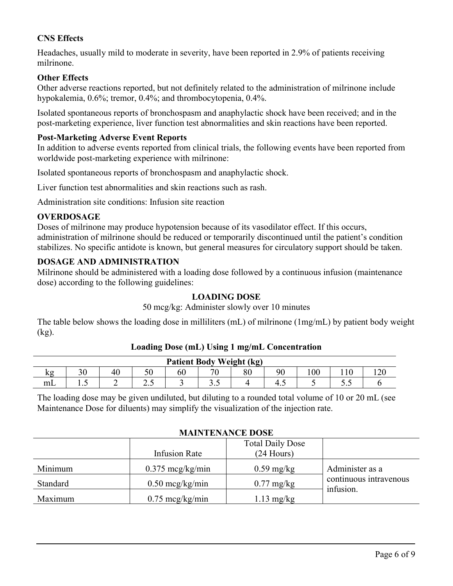# **CNS Effects**

Headaches, usually mild to moderate in severity, have been reported in 2.9% of patients receiving milrinone.

### **Other Effects**

Other adverse reactions reported, but not definitely related to the administration of milrinone include hypokalemia, 0.6%; tremor, 0.4%; and thrombocytopenia, 0.4%.

Isolated spontaneous reports of bronchospasm and anaphylactic shock have been received; and in the post-marketing experience, liver function test abnormalities and skin reactions have been reported.

#### **Post-Marketing Adverse Event Reports**

In addition to adverse events reported from clinical trials, the following events have been reported from worldwide post-marketing experience with milrinone:

Isolated spontaneous reports of bronchospasm and anaphylactic shock.

Liver function test abnormalities and skin reactions such as rash.

Administration site conditions: Infusion site reaction

#### **OVERDOSAGE**

Doses of milrinone may produce hypotension because of its vasodilator effect. If this occurs, administration of milrinone should be reduced or temporarily discontinued until the patient's condition stabilizes. No specific antidote is known, but general measures for circulatory support should be taken.

#### **DOSAGE AND ADMINISTRATION**

Milrinone should be administered with a loading dose followed by a continuous infusion (maintenance dose) according to the following guidelines:

#### **LOADING DOSE**

#### 50 mcg/kg: Administer slowly over 10 minutes

The table below shows the loading dose in milliliters (mL) of milrinone (1mg/mL) by patient body weight (kg).

| <b>Patient Body Weight (kg)</b> |                       |    |     |    |       |        |          |     |        |    |
|---------------------------------|-----------------------|----|-----|----|-------|--------|----------|-----|--------|----|
| kg                              | $\overline{20}$<br>υc | 40 | υv  | 60 | 70    | $80\,$ | $\Omega$ | 100 | 110    | ററ |
| m <sub>L</sub>                  | $\cdot \cdot$         | ∼  | ن ک |    | ن . ب |        | -4.5     |     | ັບ ∙ັບ |    |

### **Loading Dose (mL) Using 1 mg/mL Concentration**

The loading dose may be given undiluted, but diluting to a rounded total volume of 10 or 20 mL (see Maintenance Dose for diluents) may simplify the visualization of the injection rate.

#### **MAINTENANCE DOSE**

|          | Infusion Rate              | <b>Total Daily Dose</b><br>$(24$ Hours) |                                     |
|----------|----------------------------|-----------------------------------------|-------------------------------------|
| Minimum  | $0.375 \text{~mcg/kg/min}$ | $0.59 \text{ mg/kg}$                    | Administer as a                     |
| Standard | $0.50 \text{~mcg/kg/min}$  | $0.77 \text{ mg/kg}$                    | continuous intravenous<br>infusion. |
| Maximum  | $0.75 \text{~mg/kg/min}$   | $1.13 \text{ mg/kg}$                    |                                     |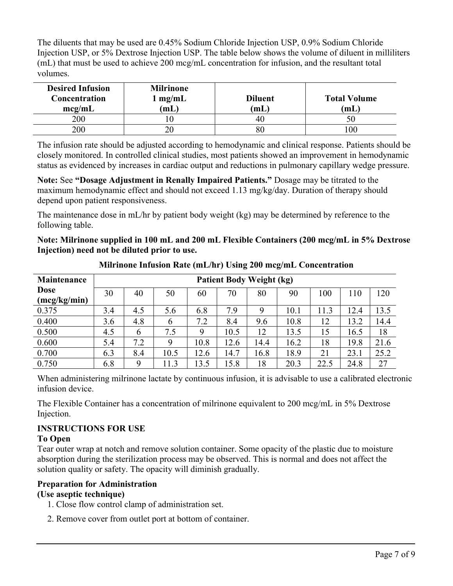The diluents that may be used are 0.45% Sodium Chloride Injection USP, 0.9% Sodium Chloride Injection USP, or 5% Dextrose Injection USP. The table below shows the volume of diluent in milliliters (mL) that must be used to achieve 200 mcg/mL concentration for infusion, and the resultant total volumes.

| <b>Desired Infusion</b><br>Concentration<br>mcg/mL | <b>Milrinone</b><br>mg/mL<br>(mL) | <b>Diluent</b><br>(mL) | <b>Total Volume</b><br>(mL |  |  |
|----------------------------------------------------|-----------------------------------|------------------------|----------------------------|--|--|
| 200                                                | ΙU                                | 40                     |                            |  |  |
| 200                                                | 20                                | 80                     | 00                         |  |  |

The infusion rate should be adjusted according to hemodynamic and clinical response. Patients should be closely monitored. In controlled clinical studies, most patients showed an improvement in hemodynamic status as evidenced by increases in cardiac output and reductions in pulmonary capillary wedge pressure.

**Note:** See **"Dosage Adjustment in Renally Impaired Patients."** Dosage may be titrated to the maximum hemodynamic effect and should not exceed 1.13 mg/kg/day. Duration of therapy should depend upon patient responsiveness.

The maintenance dose in mL/hr by patient body weight (kg) may be determined by reference to the following table.

**Note: Milrinone supplied in 100 mL and 200 mL Flexible Containers (200 mcg/mL in 5% Dextrose Injection) need not be diluted prior to use.**

| Maintenance<br><b>Patient Body Weight (kg)</b> |     |     |      |      |      |      |      |      |      |      |
|------------------------------------------------|-----|-----|------|------|------|------|------|------|------|------|
| <b>Dose</b><br>(mcg/kg/min)                    | 30  | 40  | 50   | 60   | 70   | 80   | 90   | 100  | 110  | 120  |
| 0.375                                          | 3.4 | 4.5 | 5.6  | 6.8  | 7.9  | 9    | 10.1 | 11.3 | 12.4 | 13.5 |
| 0.400                                          | 3.6 | 4.8 | 6    | 7.2  | 8.4  | 9.6  | 10.8 | 12   | 13.2 | 14.4 |
| 0.500                                          | 4.5 | 6   | 7.5  | 9    | 10.5 | 12   | 13.5 | 15   | 16.5 | 18   |
| 0.600                                          | 5.4 | 7.2 | 9    | 10.8 | 12.6 | 14.4 | 16.2 | 18   | 19.8 | 21.6 |
| 0.700                                          | 6.3 | 8.4 | 10.5 | 12.6 | 14.7 | 16.8 | 18.9 | 21   | 23.1 | 25.2 |
| 0.750                                          | 6.8 | 9   | 11.3 | 13.5 | 15.8 | 18   | 20.3 | 22.5 | 24.8 | 27   |

**Milrinone Infusion Rate (mL/hr) Using 200 mcg/mL Concentration**

When administering milrinone lactate by continuous infusion, it is advisable to use a calibrated electronic infusion device.

The Flexible Container has a concentration of milrinone equivalent to 200 mcg/mL in 5% Dextrose Injection.

# **INSTRUCTIONS FOR USE**

# **To Open**

Tear outer wrap at notch and remove solution container. Some opacity of the plastic due to moisture absorption during the sterilization process may be observed. This is normal and does not affect the solution quality or safety. The opacity will diminish gradually.

# **Preparation for Administration**

# **(Use aseptic technique)**

- 1. Close flow control clamp of administration set.
- 2. Remove cover from outlet port at bottom of container.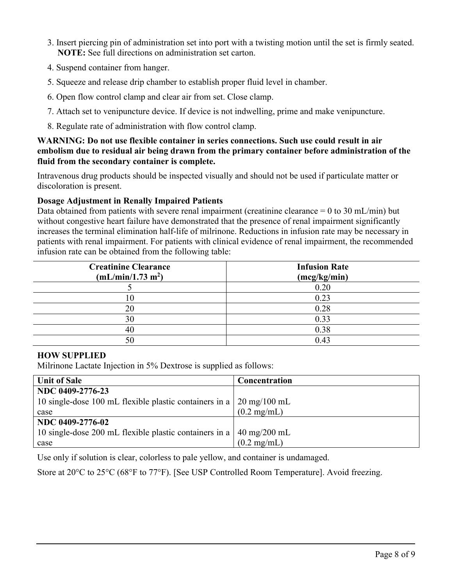- 3. Insert piercing pin of administration set into port with a twisting motion until the set is firmly seated. **NOTE:** See full directions on administration set carton.
- 4. Suspend container from hanger.
- 5. Squeeze and release drip chamber to establish proper fluid level in chamber.
- 6. Open flow control clamp and clear air from set. Close clamp.
- 7. Attach set to venipuncture device. If device is not indwelling, prime and make venipuncture.
- 8. Regulate rate of administration with flow control clamp.

**WARNING: Do not use flexible container in series connections. Such use could result in air embolism due to residual air being drawn from the primary container before administration of the fluid from the secondary container is complete.**

Intravenous drug products should be inspected visually and should not be used if particulate matter or discoloration is present.

## **Dosage Adjustment in Renally Impaired Patients**

Data obtained from patients with severe renal impairment (creatinine clearance  $= 0$  to 30 mL/min) but without congestive heart failure have demonstrated that the presence of renal impairment significantly increases the terminal elimination half-life of milrinone. Reductions in infusion rate may be necessary in patients with renal impairment. For patients with clinical evidence of renal impairment, the recommended infusion rate can be obtained from the following table:

| <b>Creatinine Clearance</b><br>(mL/min/1.73 m <sup>2</sup> ) | <b>Infusion Rate</b><br>(mcg/kg/min) |
|--------------------------------------------------------------|--------------------------------------|
|                                                              | 0.20                                 |
| ГU                                                           | 0.23                                 |
| 20                                                           | 0.28                                 |
| 30                                                           | 0.33                                 |
| 40                                                           | 0.38                                 |
|                                                              | 0.43                                 |

### **HOW SUPPLIED**

Milrinone Lactate Injection in 5% Dextrose is supplied as follows:

| <b>Unit of Sale</b>                                                                           | Concentration                  |
|-----------------------------------------------------------------------------------------------|--------------------------------|
| NDC 0409-2776-23                                                                              |                                |
| 10 single-dose 100 mL flexible plastic containers in a $\frac{20 \text{ mg}}{100 \text{ mL}}$ |                                |
| case                                                                                          | $(0.2 \text{ mg/mL})$          |
| NDC 0409-2776-02                                                                              |                                |
| 10 single-dose 200 mL flexible plastic containers in a                                        | $40 \text{ mg}/200 \text{ mL}$ |
| case                                                                                          | $(0.2 \text{ mg/mL})$          |

Use only if solution is clear, colorless to pale yellow, and container is undamaged.

Store at 20°C to 25°C (68°F to 77°F). [See USP Controlled Room Temperature]. Avoid freezing.